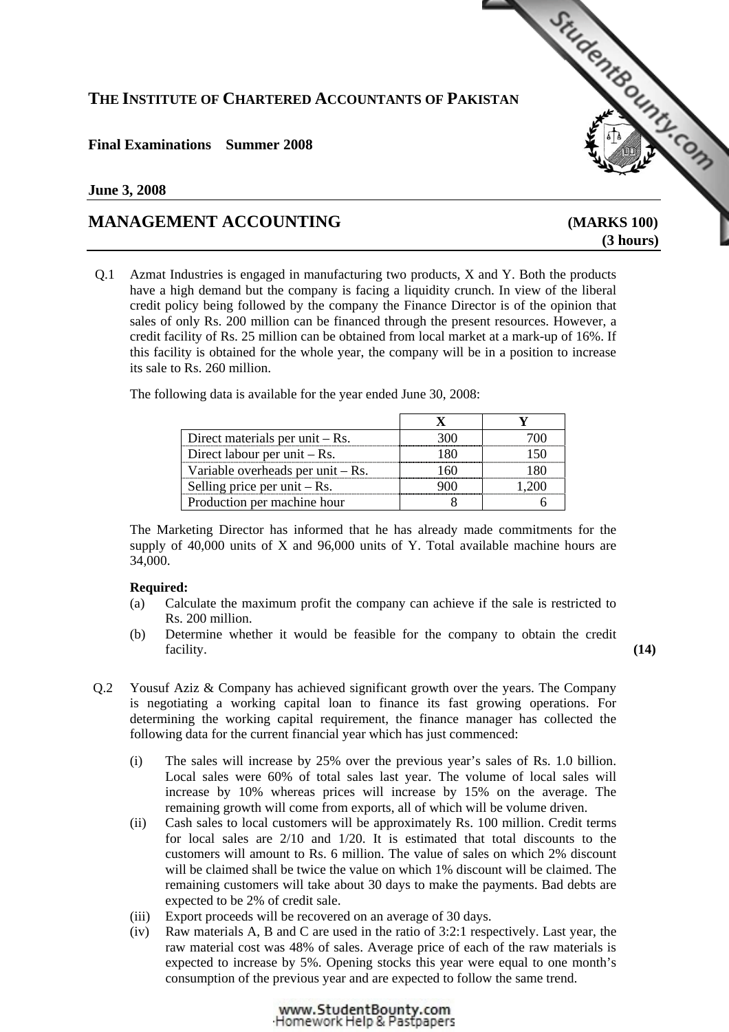# **THE INSTITUTE OF CHARTERED ACCOUNTANTS OF PAKISTAN**

# **Final Examinations Summer 2008**

## **June 3, 2008**

# **MANAGEMENT ACCOUNTING [\(MARKS 100\)](http://www.studentbounty.com)**

 **(3 hours)** 

StudentBoundary Com

Q.1 Azmat Industries is engaged in manufacturing two products, X and Y. Both the products have a high demand but the company is facing a liquidity crunch. In view of the liberal credit policy being followed by the company the Finance Director is of the opinion that sales of only Rs. 200 million can be financed through the present resources. However, a credit facility of Rs. 25 million can be obtained from local market at a mark-up of 16%. If this facility is obtained for the whole year, the company will be in a position to increase its sale to Rs. 260 million.

The following data is available for the year ended June 30, 2008:

| Direct materials per unit $-Rs$ .   |  |
|-------------------------------------|--|
| Direct labour per unit $-Rs$ .      |  |
| Variable overheads per unit $-Rs$ . |  |
| Selling price per unit $-Rs$ .      |  |
| Production per machine hour         |  |

The Marketing Director has informed that he has already made commitments for the supply of 40,000 units of X and 96,000 units of Y. Total available machine hours are 34,000.

## **Required:**

- (a) Calculate the maximum profit the company can achieve if the sale is restricted to Rs. 200 million.
- (b) Determine whether it would be feasible for the company to obtain the credit facility. **(14) (14)**
- Q.2 Yousuf Aziz & Company has achieved significant growth over the years. The Company is negotiating a working capital loan to finance its fast growing operations. For determining the working capital requirement, the finance manager has collected the following data for the current financial year which has just commenced:
	- (i) The sales will increase by 25% over the previous year's sales of Rs. 1.0 billion. Local sales were 60% of total sales last year. The volume of local sales will increase by 10% whereas prices will increase by 15% on the average. The remaining growth will come from exports, all of which will be volume driven.
	- (ii) Cash sales to local customers will be approximately Rs. 100 million. Credit terms for local sales are  $2/10$  and  $1/20$ . It is estimated that total discounts to the customers will amount to Rs. 6 million. The value of sales on which 2% discount will be claimed shall be twice the value on which 1% discount will be claimed. The remaining customers will take about 30 days to make the payments. Bad debts are expected to be 2% of credit sale.
	- (iii) Export proceeds will be recovered on an average of 30 days.
	- (iv) Raw materials A, B and C are used in the ratio of 3:2:1 respectively. Last year, the raw material cost was 48% of sales. Average price of each of the raw materials is expected to increase by 5%. Opening stocks this year were equal to one month's consumption of the previous year and are expected to follow the same trend.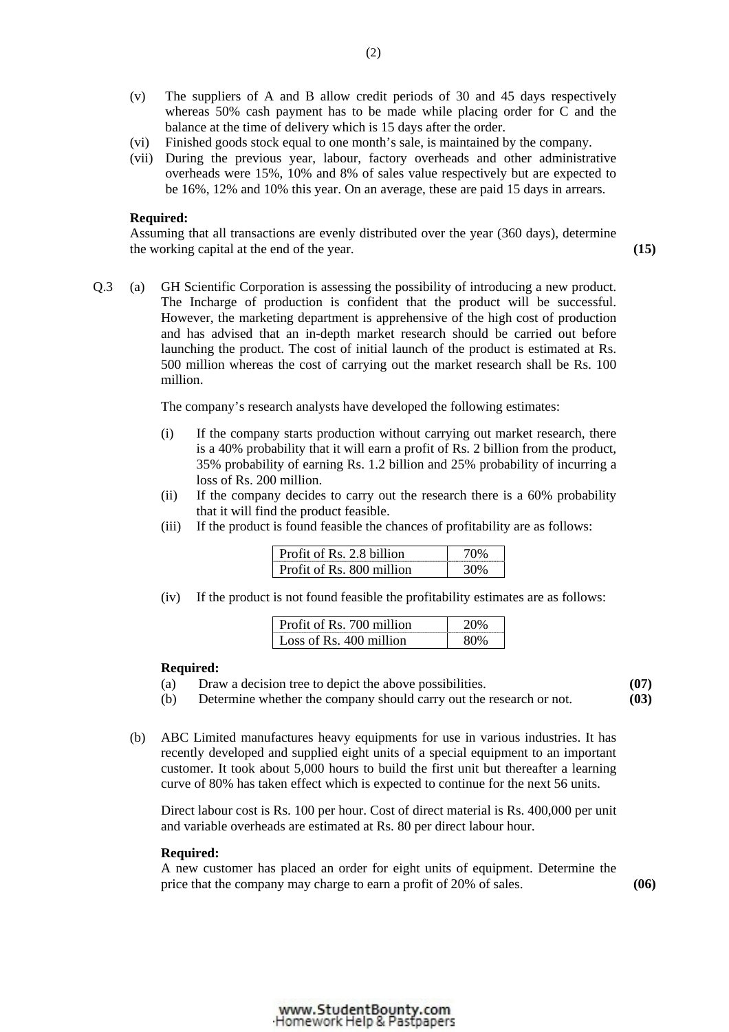- (v) The suppliers of A and B allow credit periods of 30 and 45 days respectively whereas 50% cash payment has to be made while placing order for C and the balance at the time of delivery which is 15 days after the order.
- (vi) Finished goods stock equal to one month's sale, is maintained by the company.
- (vii) During the previous year, labour, factory overheads and other administrative overheads were 15%, 10% and 8% of sales value respectively but are expected to be 16%, 12% and 10% this year. On an average, these are paid 15 days in arrears.

## **Required:**

Assuming that all transactions are evenly distributed over the year (360 days), determine the working capital at the end of the year. **(15)** 

Q.3 (a) GH Scientific Corporation is assessing the possibility of introducing a new product. The Incharge of production is confident that the product will be successful. However, the marketing department is apprehensive of the high cost of production and has advised that an in-depth market research should be carried out before launching the product. The cost of initial launch of the product is estimated at Rs. 500 million whereas the cost of carrying out the market research shall be Rs. 100 million.

The company's research analysts have developed the following estimates:

- (i) If the company starts production without carrying out market research, there is a 40% probability that it will earn a profit of Rs. 2 billion from the product, 35% probability of earning Rs. 1.2 billion and 25% probability of incurring a loss of Rs. 200 million.
- (ii) If the company decides to carry out the research there is a 60% probability that it will find the product feasible.
- (iii) If the product is found feasible the chances of profitability are as follows:

| Profit of Rs. 2.8 billion |  |
|---------------------------|--|
| Profit of Rs. 800 million |  |

(iv) If the product is not found feasible the profitability estimates are as follows:

| of Rs 700 million               |  |
|---------------------------------|--|
| Loss of $\text{Rs}$ 400 million |  |

## **Required:**

- (a) Draw a decision tree to depict the above possibilities.
- (b) Determine whether the company should carry out the research or not.

**(07) (03)** 

 (b) ABC Limited manufactures heavy equipments for use in various industries. It has recently developed and supplied eight units of a special equipment to an important customer. It took about 5,000 hours to build the first unit but thereafter a learning curve of 80% has taken effect which is expected to continue for the next 56 units.

Direct labour cost is Rs. 100 per hour. Cost of direct material is Rs. 400,000 per unit and variable overheads are estimated at Rs. 80 per direct labour hour.

#### **Required:**

A new customer has placed an order for eight units of equipment. Determine the price that the company may charge to earn a profit of 20% of sales. **(06)**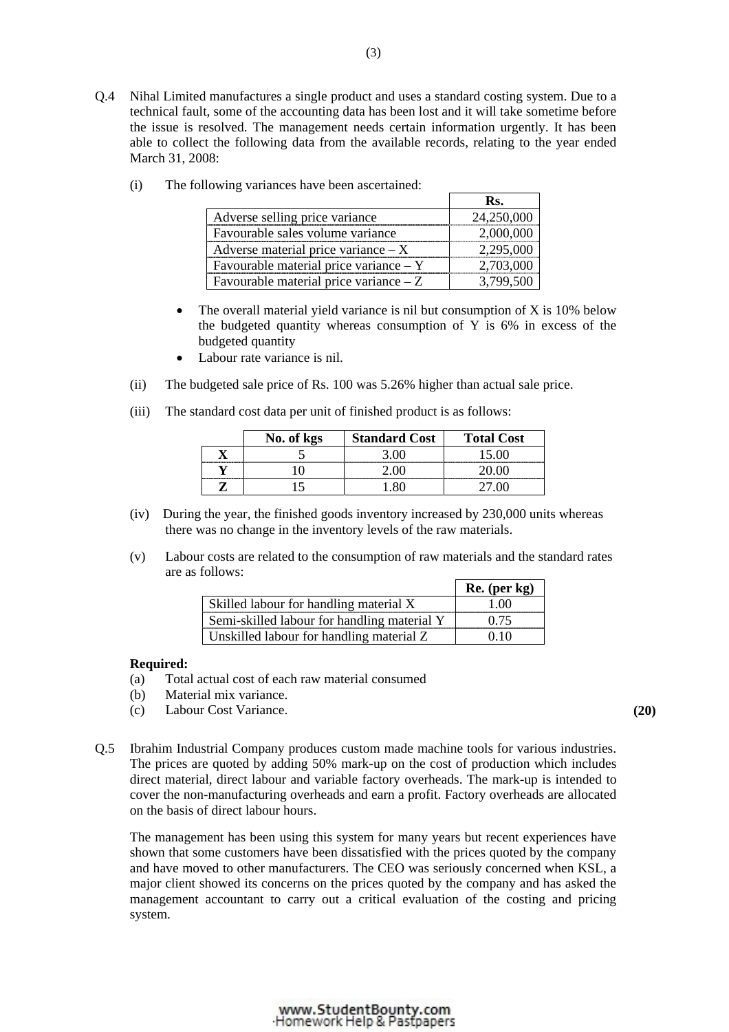Q.4 Nihal Limited manufactures a single product and uses a standard costing system. Due to a technical fault, some of the accounting data has been lost and it will take sometime before the issue is resolved. The management needs certain information urgently. It has been able to collect the following data from the available records, relating to the year ended March 31, 2008:

|                                          | Ks.        |
|------------------------------------------|------------|
| Adverse selling price variance           | 24,250,000 |
| Favourable sales volume variance         | 2,000,000  |
| Adverse material price variance $- X$    | 2,295,000  |
| Favourable material price variance $-$ Y | 2,703,000  |
| Favourable material price variance $-Z$  | 3799500    |

(i) The following variances have been ascertained:

- The overall material yield variance is nil but consumption of  $X$  is 10% below the budgeted quantity whereas consumption of Y is 6% in excess of the budgeted quantity
- Labour rate variance is nil.
- (ii) The budgeted sale price of Rs. 100 was 5.26% higher than actual sale price.
- (iii) The standard cost data per unit of finished product is as follows:

|                                 | No. of kgs | <b>Standard Cost</b> | <b>Total Cost</b> |
|---------------------------------|------------|----------------------|-------------------|
|                                 |            |                      |                   |
| ,,,,,,,,,,,,,,,,,,,,,,,,,,,,,,, |            |                      |                   |
|                                 |            |                      |                   |

- (iv) During the year, the finished goods inventory increased by 230,000 units whereas there was no change in the inventory levels of the raw materials.
- (v) Labour costs are related to the consumption of raw materials and the standard rates are as follows:

|                                             | Re. (per kg) |
|---------------------------------------------|--------------|
| Skilled labour for handling material X      | 1 00         |
| Semi-skilled labour for handling material Y | 0.75         |
| Unskilled labour for handling material Z    | 0.10         |

## **Required:**

- (a) Total actual cost of each raw material consumed
- (b) Material mix variance.
- (c) Labour Cost Variance. **(20)**
- Q.5 Ibrahim Industrial Company produces custom made machine tools for various industries. The prices are quoted by adding 50% mark-up on the cost of production which includes direct material, direct labour and variable factory overheads. The mark-up is intended to cover the non-manufacturing overheads and earn a profit. Factory overheads are allocated on the basis of direct labour hours.

The management has been using this system for many years but recent experiences have shown that some customers have been dissatisfied with the prices quoted by the company and have moved to other manufacturers. The CEO was seriously concerned when KSL, a major client showed its concerns on the prices quoted by the company and has asked the management accountant to carry out a critical evaluation of the costing and pricing system.

#### www.StudentBounty.com Homework Help & Pastpapers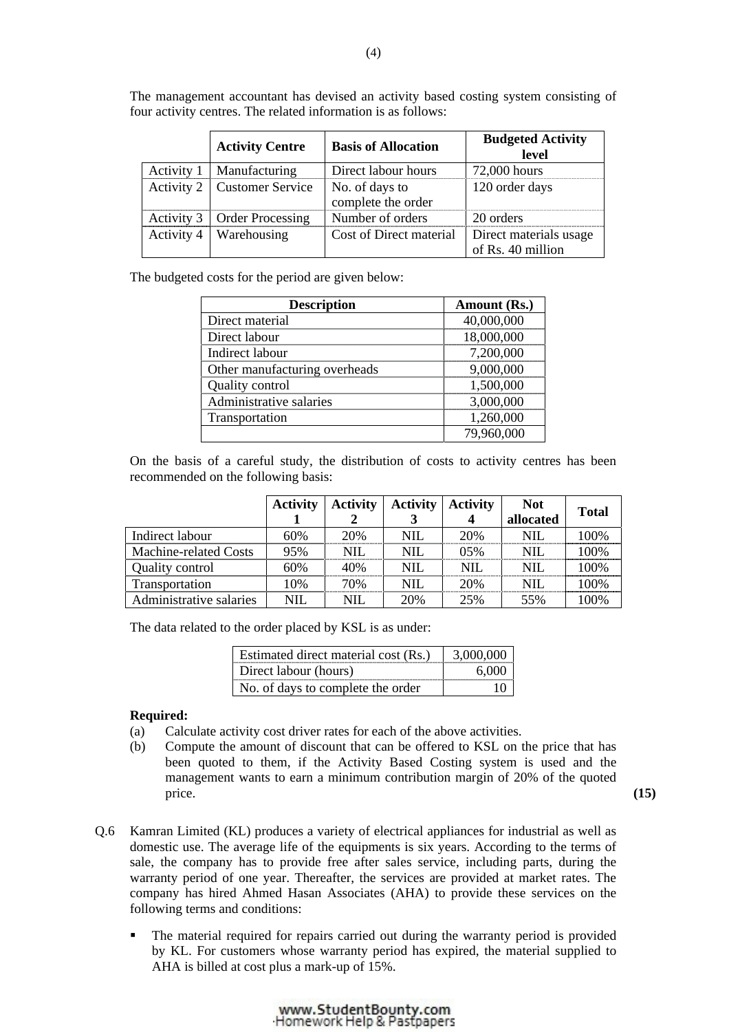|            | <b>Activity Centre</b>        | <b>Basis of Allocation</b>           | <b>Budgeted Activity</b><br>level           |
|------------|-------------------------------|--------------------------------------|---------------------------------------------|
|            | Activity 1   Manufacturing    | Direct labour hours                  | 72,000 hours                                |
|            | Activity 2   Customer Service | No. of days to<br>complete the order | 120 order days                              |
|            | Activity 3   Order Processing | Number of orders                     | 20 orders                                   |
| Activity 4 | Warehousing                   | Cost of Direct material              | Direct materials usage<br>of Rs. 40 million |

 The management accountant has devised an activity based costing system consisting of four activity centres. The related information is as follows:

The budgeted costs for the period are given below:

| <b>Description</b>            | Amount (Rs.) |
|-------------------------------|--------------|
| Direct material               | 40,000,000   |
| Direct labour                 | 18,000,000   |
| Indirect labour               | 7,200,000    |
| Other manufacturing overheads | 9,000,000    |
| Quality control               | 1,500,000    |
| Administrative salaries       | 3,000,000    |
| Transportation                | 1,260,000    |
|                               | 79,960,000   |

 On the basis of a careful study, the distribution of costs to activity centres has been recommended on the following basis:

|                         | <b>Activity</b> | <b>Activity</b> | <b>Activity</b> | <b>Activity</b> | <b>Not</b> | <b>Total</b> |
|-------------------------|-----------------|-----------------|-----------------|-----------------|------------|--------------|
|                         |                 |                 |                 | 4               | allocated  |              |
| Indirect labour         | 60%             | 20%             | <b>NIL</b>      | 20%             | NIL        | 100%         |
| Machine-related Costs   | 95%             | <b>NIL</b>      | <b>NIL</b>      | $0.5\%$         | NIL.       | 100%         |
| Quality control         | 60%             | 40%             | <b>NIL</b>      | NIL.            | NIL.       | 100%         |
| Transportation          | 10%             | 70%             | <b>NIL</b>      | 20%             | NH.        | 100\%        |
| Administrative salaries | <b>NIL</b>      | $\rm NIL$       | 20%             | 25%             | 55%        | 100%         |

The data related to the order placed by KSL is as under:

| Estimated direct material cost (Rs.) |  |
|--------------------------------------|--|
| Direct labour (hours)                |  |
| No. of days to complete the order    |  |
|                                      |  |

## **Required:**

- (a) Calculate activity cost driver rates for each of the above activities.
- (b) Compute the amount of discount that can be offered to KSL on the price that has been quoted to them, if the Activity Based Costing system is used and the management wants to earn a minimum contribution margin of 20% of the quoted price.  $(15)$

- Q.6 Kamran Limited (KL) produces a variety of electrical appliances for industrial as well as domestic use. The average life of the equipments is six years. According to the terms of sale, the company has to provide free after sales service, including parts, during the warranty period of one year. Thereafter, the services are provided at market rates. The company has hired Ahmed Hasan Associates (AHA) to provide these services on the following terms and conditions:
	- The material required for repairs carried out during the warranty period is provided by KL. For customers whose warranty period has expired, the material supplied to AHA is billed at cost plus a mark-up of 15%.